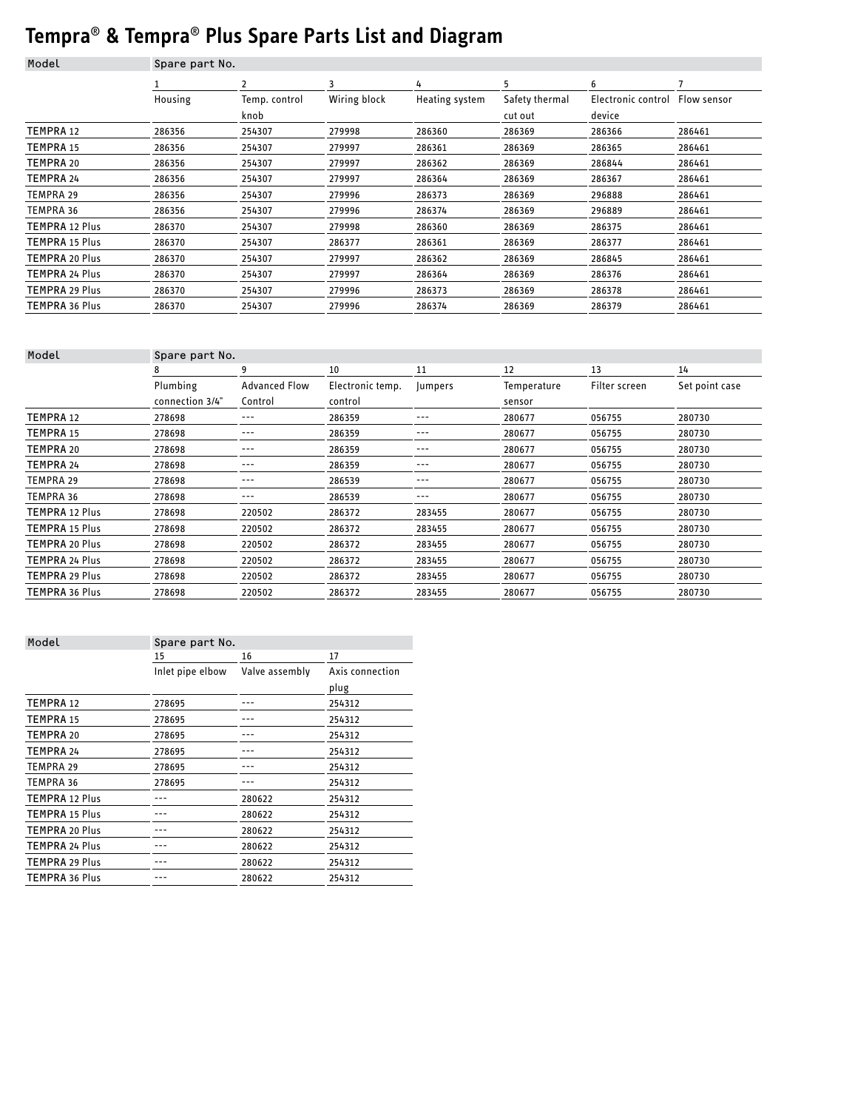## **Tempra**® **& Tempra**® **Plus Spare Parts List and Diagram**

| Model            | Spare part No. |               |              |                |                |                    |             |
|------------------|----------------|---------------|--------------|----------------|----------------|--------------------|-------------|
|                  |                | 2             | 3            | 4              | 5              | 6                  |             |
|                  | Housing        | Temp. control | Wiring block | Heating system | Safety thermal | Electronic control | Flow sensor |
|                  |                | knob          |              |                | cut out        | device             |             |
| <b>TEMPRA 12</b> | 286356         | 254307        | 279998       | 286360         | 286369         | 286366             | 286461      |
| <b>TEMPRA 15</b> | 286356         | 254307        | 279997       | 286361         | 286369         | 286365             | 286461      |
| TEMPRA 20        | 286356         | 254307        | 279997       | 286362         | 286369         | 286844             | 286461      |
| <b>TEMPRA 24</b> | 286356         | 254307        | 279997       | 286364         | 286369         | 286367             | 286461      |
| <b>TEMPRA 29</b> | 286356         | 254307        | 279996       | 286373         | 286369         | 296888             | 286461      |
| TEMPRA 36        | 286356         | 254307        | 279996       | 286374         | 286369         | 296889             | 286461      |
| TEMPRA 12 Plus   | 286370         | 254307        | 279998       | 286360         | 286369         | 286375             | 286461      |
| TEMPRA 15 Plus   | 286370         | 254307        | 286377       | 286361         | 286369         | 286377             | 286461      |
| TEMPRA 20 Plus   | 286370         | 254307        | 279997       | 286362         | 286369         | 286845             | 286461      |
| TEMPRA 24 Plus   | 286370         | 254307        | 279997       | 286364         | 286369         | 286376             | 286461      |
| TEMPRA 29 Plus   | 286370         | 254307        | 279996       | 286373         | 286369         | 286378             | 286461      |
| TEMPRA 36 Plus   | 286370         | 254307        | 279996       | 286374         | 286369         | 286379             | 286461      |

| Model            |                 | Spare part No.       |                  |               |             |               |                |  |  |
|------------------|-----------------|----------------------|------------------|---------------|-------------|---------------|----------------|--|--|
|                  | 8               | 9                    | 10               | 11            | 12          | 13            | 14             |  |  |
|                  | Plumbing        | <b>Advanced Flow</b> | Electronic temp. | <b>umpers</b> | Temperature | Filter screen | Set point case |  |  |
|                  | connection 3/4" | Control              | control          |               | sensor      |               |                |  |  |
| <b>TEMPRA 12</b> | 278698          | ---                  | 286359           | ---           | 280677      | 056755        | 280730         |  |  |
| <b>TEMPRA 15</b> | 278698          | ---                  | 286359           | ---           | 280677      | 056755        | 280730         |  |  |
| TEMPRA 20        | 278698          | ---                  | 286359           | ---           | 280677      | 056755        | 280730         |  |  |
| <b>TEMPRA 24</b> | 278698          | ---                  | 286359           | ---           | 280677      | 056755        | 280730         |  |  |
| TEMPRA 29        | 278698          | ---                  | 286539           | ---           | 280677      | 056755        | 280730         |  |  |
| <b>TEMPRA 36</b> | 278698          | ---                  | 286539           | ---           | 280677      | 056755        | 280730         |  |  |
| TEMPRA 12 Plus   | 278698          | 220502               | 286372           | 283455        | 280677      | 056755        | 280730         |  |  |
| TEMPRA 15 Plus   | 278698          | 220502               | 286372           | 283455        | 280677      | 056755        | 280730         |  |  |
| TEMPRA 20 Plus   | 278698          | 220502               | 286372           | 283455        | 280677      | 056755        | 280730         |  |  |
| TEMPRA 24 Plus   | 278698          | 220502               | 286372           | 283455        | 280677      | 056755        | 280730         |  |  |
| TEMPRA 29 Plus   | 278698          | 220502               | 286372           | 283455        | 280677      | 056755        | 280730         |  |  |
| TEMPRA 36 Plus   | 278698          | 220502               | 286372           | 283455        | 280677      | 056755        | 280730         |  |  |
|                  |                 |                      |                  |               |             |               |                |  |  |

| Model                 | Spare part No.   |                |                 |  |
|-----------------------|------------------|----------------|-----------------|--|
|                       | 15               | 16             | 17              |  |
|                       | Inlet pipe elbow | Valve assembly | Axis connection |  |
|                       |                  |                | plug            |  |
| TEMPRA 12             | 278695           |                | 254312          |  |
| <b>TEMPRA 15</b>      | 278695           |                | 254312          |  |
| TEMPRA 20             | 278695           |                | 254312          |  |
| <b>TEMPRA 24</b>      | 278695           |                | 254312          |  |
| <b>TEMPRA 29</b>      | 278695           |                | 254312          |  |
| <b>TEMPRA 36</b>      | 278695           |                | 254312          |  |
| <b>TEMPRA 12 Plus</b> |                  | 280622         | 254312          |  |
| <b>TEMPRA 15 Plus</b> |                  | 280622         | 254312          |  |
| <b>TEMPRA 20 Plus</b> |                  | 280622         | 254312          |  |
| <b>TEMPRA 24 Plus</b> |                  | 280622         | 254312          |  |
| <b>TEMPRA 29 Plus</b> |                  | 280622         | 254312          |  |
| TEMPRA 36 Plus        |                  | 280622         | 254312          |  |